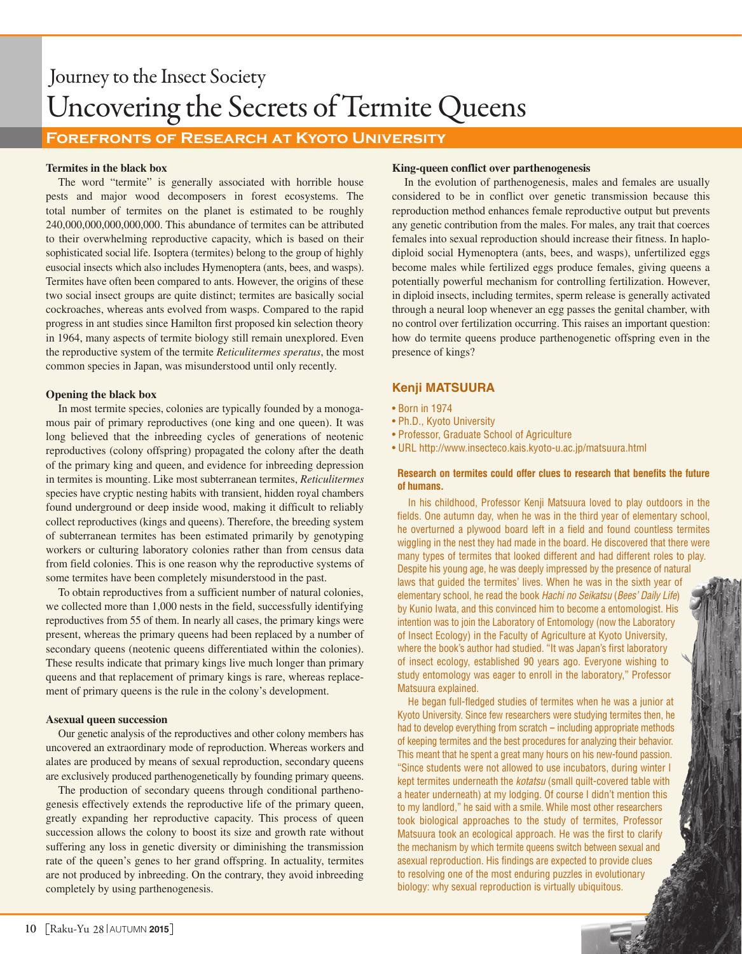# Journey to the Insect Society Uncovering the Secrets of Termite Queens

# **Forefronts of Research at Kyoto University**

# **Termites in the black box**

The word "termite" is generally associated with horrible house pests and major wood decomposers in forest ecosystems. The total number of termites on the planet is estimated to be roughly 240,000,000,000,000,000. This abundance of termites can be attributed to their overwhelming reproductive capacity, which is based on their sophisticated social life. Isoptera (termites) belong to the group of highly eusocial insects which also includes Hymenoptera (ants, bees, and wasps). Termites have often been compared to ants. However, the origins of these two social insect groups are quite distinct; termites are basically social cockroaches, whereas ants evolved from wasps. Compared to the rapid progress in ant studies since Hamilton first proposed kin selection theory in 1964, many aspects of termite biology still remain unexplored. Even the reproductive system of the termite *Reticulitermes speratus*, the most common species in Japan, was misunderstood until only recently.

# **Opening the black box**

In most termite species, colonies are typically founded by a monogamous pair of primary reproductives (one king and one queen). It was long believed that the inbreeding cycles of generations of neotenic reproductives (colony offspring) propagated the colony after the death of the primary king and queen, and evidence for inbreeding depression in termites is mounting. Like most subterranean termites, *Reticulitermes* species have cryptic nesting habits with transient, hidden royal chambers found underground or deep inside wood, making it difficult to reliably collect reproductives (kings and queens). Therefore, the breeding system of subterranean termites has been estimated primarily by genotyping workers or culturing laboratory colonies rather than from census data from field colonies. This is one reason why the reproductive systems of some termites have been completely misunderstood in the past.

To obtain reproductives from a sufficient number of natural colonies, we collected more than 1,000 nests in the field, successfully identifying reproductives from 55 of them. In nearly all cases, the primary kings were present, whereas the primary queens had been replaced by a number of secondary queens (neotenic queens differentiated within the colonies). These results indicate that primary kings live much longer than primary queens and that replacement of primary kings is rare, whereas replacement of primary queens is the rule in the colony's development.

# **Asexual queen succession**

Our genetic analysis of the reproductives and other colony members has uncovered an extraordinary mode of reproduction. Whereas workers and alates are produced by means of sexual reproduction, secondary queens are exclusively produced parthenogenetically by founding primary queens.

The production of secondary queens through conditional parthenogenesis effectively extends the reproductive life of the primary queen, greatly expanding her reproductive capacity. This process of queen succession allows the colony to boost its size and growth rate without suffering any loss in genetic diversity or diminishing the transmission rate of the queen's genes to her grand offspring. In actuality, termites are not produced by inbreeding. On the contrary, they avoid inbreeding completely by using parthenogenesis.

# **King-queen conflict over parthenogenesis**

In the evolution of parthenogenesis, males and females are usually considered to be in conflict over genetic transmission because this reproduction method enhances female reproductive output but prevents any genetic contribution from the males. For males, any trait that coerces females into sexual reproduction should increase their fitness. In haplodiploid social Hymenoptera (ants, bees, and wasps), unfertilized eggs become males while fertilized eggs produce females, giving queens a potentially powerful mechanism for controlling fertilization. However, in diploid insects, including termites, sperm release is generally activated through a neural loop whenever an egg passes the genital chamber, with no control over fertilization occurring. This raises an important question: how do termite queens produce parthenogenetic offspring even in the presence of kings?

# **Kenji MATSUURA**

- Born in 1974
- Ph.D., Kyoto University
- Professor, Graduate School of Agriculture
- URL http://www.insecteco.kais.kyoto-u.ac.jp/matsuura.html

# **Research on termites could offer clues to research that benefits the future of humans.**

In his childhood, Professor Kenji Matsuura loved to play outdoors in the fields. One autumn day, when he was in the third year of elementary school, he overturned a plywood board left in a field and found countless termites wiggling in the nest they had made in the board. He discovered that there were many types of termites that looked different and had different roles to play. Despite his young age, he was deeply impressed by the presence of natural laws that guided the termites' lives. When he was in the sixth year of elementary school, he read the book *Hachi no Seikatsu* (*Bees' Daily Life*) by Kunio Iwata, and this convinced him to become a entomologist. His intention was to join the Laboratory of Entomology (now the Laboratory of Insect Ecology) in the Faculty of Agriculture at Kyoto University, where the book's author had studied. "It was Japan's first laboratory of insect ecology, established 90 years ago. Everyone wishing to study entomology was eager to enroll in the laboratory," Professor Matsuura explained.

He began full-fledged studies of termites when he was a junior at Kyoto University. Since few researchers were studying termites then, he had to develop everything from scratch  $-$  including appropriate methods of keeping termites and the best procedures for analyzing their behavior. This meant that he spent a great many hours on his new-found passion. "Since students were not allowed to use incubators, during winter I kept termites underneath the *kotatsu* (small quilt-covered table with a heater underneath) at my lodging. Of course I didn't mention this to my landlord," he said with a smile. While most other researchers took biological approaches to the study of termites, Professor Matsuura took an ecological approach. He was the first to clarify the mechanism by which termite queens switch between sexual and asexual reproduction. His findings are expected to provide clues to resolving one of the most enduring puzzles in evolutionary biology: why sexual reproduction is virtually ubiquitous.